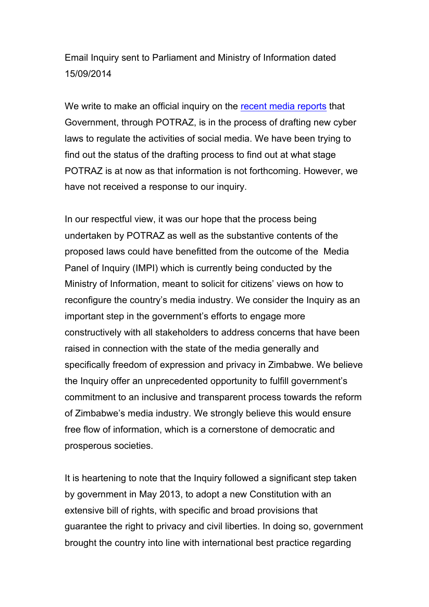Email Inquiry sent to Parliament and Ministry of Information dated 15/09/2014

We write to make an official inquiry on the recent media reports that Government, through POTRAZ, is in the process of drafting new cyber laws to regulate the activities of social media. We have been trying to find out the status of the drafting process to find out at what stage POTRAZ is at now as that information is not forthcoming. However, we have not received a response to our inquiry.

In our respectful view, it was our hope that the process being undertaken by POTRAZ as well as the substantive contents of the proposed laws could have benefitted from the outcome of the Media Panel of Inquiry (IMPI) which is currently being conducted by the Ministry of Information, meant to solicit for citizens' views on how to reconfigure the country's media industry. We consider the Inquiry as an important step in the government's efforts to engage more constructively with all stakeholders to address concerns that have been raised in connection with the state of the media generally and specifically freedom of expression and privacy in Zimbabwe. We believe the Inquiry offer an unprecedented opportunity to fulfill government's commitment to an inclusive and transparent process towards the reform of Zimbabwe's media industry. We strongly believe this would ensure free flow of information, which is a cornerstone of democratic and prosperous societies.

It is heartening to note that the Inquiry followed a significant step taken by government in May 2013, to adopt a new Constitution with an extensive bill of rights, with specific and broad provisions that guarantee the right to privacy and civil liberties. In doing so, government brought the country into line with international best practice regarding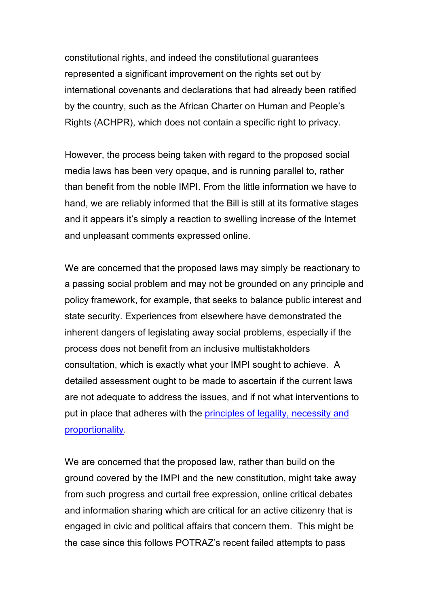constitutional rights, and indeed the constitutional guarantees represented a significant improvement on the rights set out by international covenants and declarations that had already been ratified by the country, such as the African Charter on Human and People's Rights (ACHPR), which does not contain a specific right to privacy.

However, the process being taken with regard to the proposed social media laws has been very opaque, and is running parallel to, rather than benefit from the noble IMPI. From the little information we have to hand, we are reliably informed that the Bill is still at its formative stages and it appears it's simply a reaction to swelling increase of the Internet and unpleasant comments expressed online.

We are concerned that the proposed laws may simply be reactionary to a passing social problem and may not be grounded on any principle and policy framework, for example, that seeks to balance public interest and state security. Experiences from elsewhere have demonstrated the inherent dangers of legislating away social problems, especially if the process does not benefit from an inclusive multistakholders consultation, which is exactly what your IMPI sought to achieve. A detailed assessment ought to be made to ascertain if the current laws are not adequate to address the issues, and if not what interventions to put in place that adheres with the principles of legality, necessity and proportionality.

We are concerned that the proposed law, rather than build on the ground covered by the IMPI and the new constitution, might take away from such progress and curtail free expression, online critical debates and information sharing which are critical for an active citizenry that is engaged in civic and political affairs that concern them. This might be the case since this follows POTRAZ's recent failed attempts to pass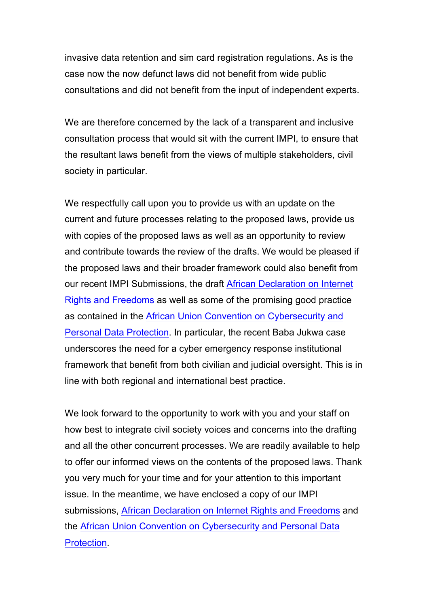invasive data retention and sim card registration regulations. As is the case now the now defunct laws did not benefit from wide public consultations and did not benefit from the input of independent experts.

We are therefore concerned by the lack of a transparent and inclusive consultation process that would sit with the current IMPI, to ensure that the resultant laws benefit from the views of multiple stakeholders, civil society in particular.

We respectfully call upon you to provide us with an update on the current and future processes relating to the proposed laws, provide us with copies of the proposed laws as well as an opportunity to review and contribute towards the review of the drafts. We would be pleased if the proposed laws and their broader framework could also benefit from our recent IMPI Submissions, the draft African Declaration on Internet Rights and Freedoms as well as some of the promising good practice as contained in the African Union Convention on Cybersecurity and Personal Data Protection. In particular, the recent Baba Jukwa case underscores the need for a cyber emergency response institutional framework that benefit from both civilian and judicial oversight. This is in line with both regional and international best practice.

We look forward to the opportunity to work with you and your staff on how best to integrate civil society voices and concerns into the drafting and all the other concurrent processes. We are readily available to help to offer our informed views on the contents of the proposed laws. Thank you very much for your time and for your attention to this important issue. In the meantime, we have enclosed a copy of our IMPI submissions, African Declaration on Internet Rights and Freedoms and the African Union Convention on Cybersecurity and Personal Data Protection.